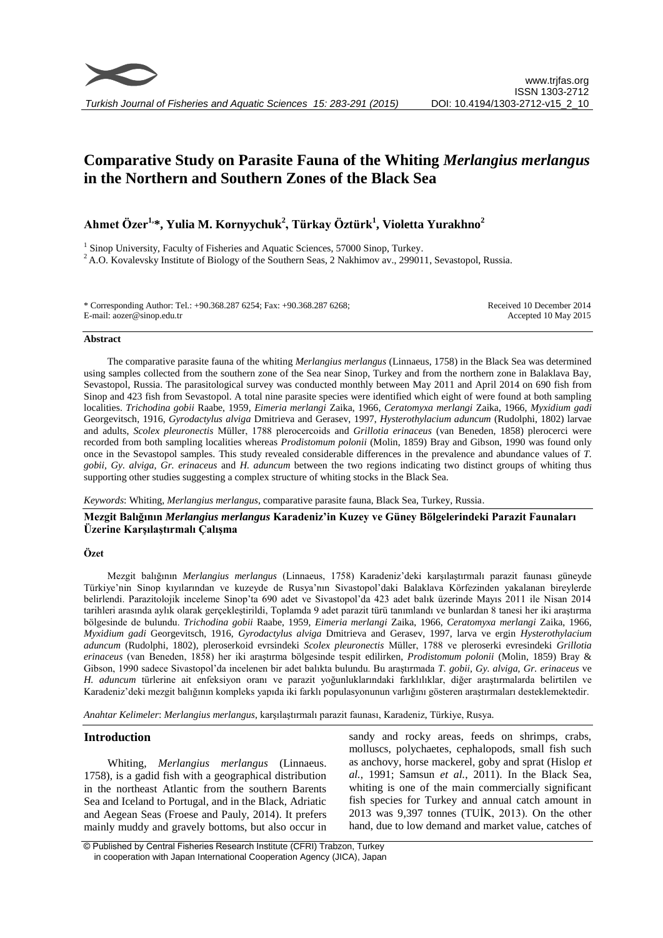

# **Comparative Study on Parasite Fauna of the Whiting** *Merlangius merlangus* **in the Northern and Southern Zones of the Black Sea**

# **Ahmet Özer1,\*, Yulia M. Kornyychuk<sup>2</sup> , Türkay Öztürk<sup>1</sup> , Violetta Yurakhno<sup>2</sup>**

<sup>1</sup> Sinop University, Faculty of Fisheries and Aquatic Sciences, 57000 Sinop, Turkey. <sup>2</sup> A.O. Kovalevsky Institute of Biology of the Southern Seas, 2 Nakhimov av., 299011, Sevastopol, Russia.

\* Corresponding Author: Tel.: +90.368.287 6254; Fax: +90.368.287 6268; E-mail: aozer@sinop.edu.tr Received 10 December 2014 Accepted 10 May 2015

#### **Abstract**

The comparative parasite fauna of the whiting *Merlangius merlangus* (Linnaeus, 1758) in the Black Sea was determined using samples collected from the southern zone of the Sea near Sinop, Turkey and from the northern zone in Balaklava Bay, Sevastopol, Russia. The parasitological survey was conducted monthly between May 2011 and April 2014 on 690 fish from Sinop and 423 fish from Sevastopol. A total nine parasite species were identified which eight of were found at both sampling localities. *Trichodina gobii* Raabe, 1959, *Eimeria merlangi* Zaika, 1966, *Ceratomyxa merlangi* Zaika, 1966, *Myxidium gadi* Georgevitsch, 1916, *Gyrodactylus alviga* Dmitrieva and Gerasev, 1997, *Hysterothylacium aduncum* (Rudolphi, 1802) larvae and adults, *Scolex pleuronectis* Müller, 1788 plerocercoids and *Grillotia erinaceus* (van Beneden, 1858) plerocerci were recorded from both sampling localities whereas *Prodistomum polonii* (Molin, 1859) Bray and Gibson, 1990 was found only once in the Sevastopol samples. This study revealed considerable differences in the prevalence and abundance values of *T. gobii, Gy. alviga, Gr. erinaceus* and *H. aduncum* between the two regions indicating two distinct groups of whiting thus supporting other studies suggesting a complex structure of whiting stocks in the Black Sea.

*Keywords*: Whiting, *Merlangius merlangus*, comparative parasite fauna, Black Sea, Turkey, Russia.

# **Mezgit Balığının** *Merlangius merlangus* **Karadeniz'in Kuzey ve Güney Bölgelerindeki Parazit Faunaları Üzerine Karşılaştırmalı Çalışma**

#### **Özet**

Mezgit balığının *Merlangius merlangus* (Linnaeus, 1758) Karadeniz'deki karşılaştırmalı parazit faunası güneyde Türkiye'nin Sinop kıyılarından ve kuzeyde de Rusya'nın Sivastopol'daki Balaklava Körfezinden yakalanan bireylerde belirlendi. Parazitolojik inceleme Sinop'ta 690 adet ve Sivastopol'da 423 adet balık üzerinde Mayıs 2011 ile Nisan 2014 tarihleri arasında aylık olarak gerçekleştirildi, Toplamda 9 adet parazit türü tanımlandı ve bunlardan 8 tanesi her iki araştırma bölgesinde de bulundu. *Trichodina gobii* Raabe, 1959, *Eimeria merlangi* Zaika, 1966, *Ceratomyxa merlangi* Zaika, 1966, *Myxidium gadi* Georgevitsch, 1916, *Gyrodactylus alviga* Dmitrieva and Gerasev, 1997, larva ve ergin *Hysterothylacium aduncum* (Rudolphi, 1802), pleroserkoid evrsindeki *Scolex pleuronectis* Müller, 1788 ve pleroserki evresindeki *Grillotia erinaceus* (van Beneden, 1858) her iki araştırma bölgesinde tespit edilirken, *Prodistomum polonii* (Molin, 1859) Bray & Gibson, 1990 sadece Sivastopol'da incelenen bir adet balıkta bulundu. Bu araştırmada *T. gobii, Gy. alviga, Gr. erinaceus* ve *H. aduncum* türlerine ait enfeksiyon oranı ve parazit yoğunluklarındaki farklılıklar, diğer araştırmalarda belirtilen ve Karadeniz'deki mezgit balığının kompleks yapıda iki farklı populasyonunun varlığını gösteren araştırmaları desteklemektedir.

*Anahtar Kelimeler*: *Merlangius merlangus*, karşılaştırmalı parazit faunası, Karadeniz, Türkiye, Rusya.

#### **Introduction**

Whiting, *Merlangius merlangus* (Linnaeus. 1758), is a gadid fish with a geographical distribution in the northeast Atlantic from the southern Barents Sea and Iceland to Portugal, and in the Black, Adriatic and Aegean Seas (Froese and Pauly, 2014). It prefers mainly muddy and gravely bottoms, but also occur in

sandy and rocky areas, feeds on shrimps, crabs, molluscs, polychaetes, cephalopods, small fish such as anchovy, horse mackerel, goby and sprat (Hislop *et al.*, 1991; Samsun *et al.*, 2011). In the Black Sea, whiting is one of the main commercially significant fish species for Turkey and annual catch amount in 2013 was 9,397 tonnes (TUİK, 2013). On the other hand, due to low demand and market value, catches of

<sup>©</sup> Published by Central Fisheries Research Institute (CFRI) Trabzon, Turkey in cooperation with Japan International Cooperation Agency (JICA), Japan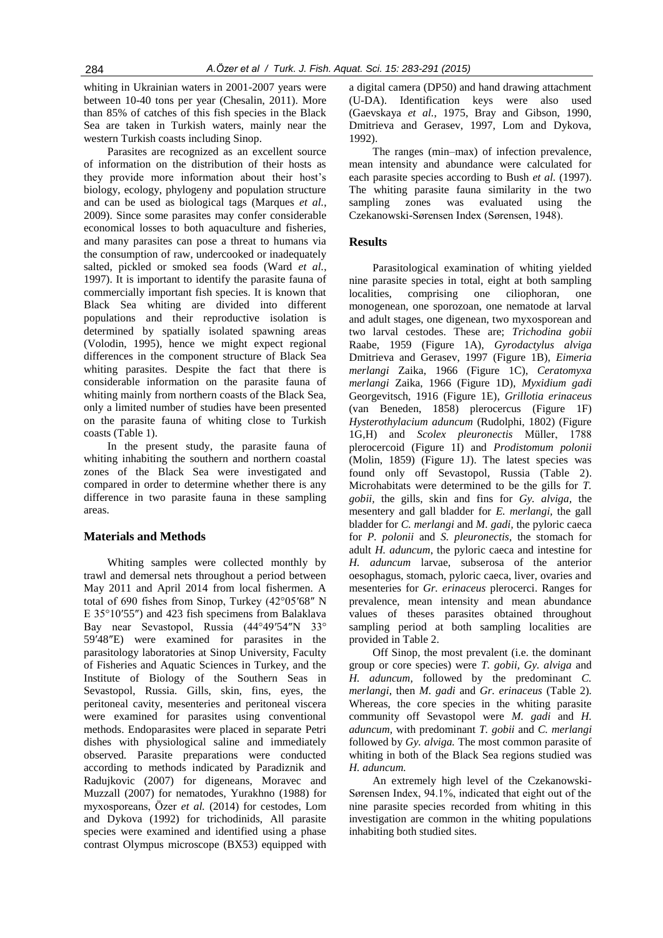whiting in Ukrainian waters in 2001-2007 years were between 10-40 tons per year (Chesalin, 2011). More than 85% of catches of this fish species in the Black Sea are taken in Turkish waters, mainly near the western Turkish coasts including Sinop.

Parasites are recognized as an excellent source of information on the distribution of their hosts as they provide more information about their host's biology, ecology, phylogeny and population structure and can be used as biological tags (Marques *et al.*, 2009). Since some parasites may confer considerable economical losses to both aquaculture and fisheries, and many parasites can pose a threat to humans via the consumption of raw, undercooked or inadequately salted, pickled or smoked sea foods (Ward *et al.*, 1997). It is important to identify the parasite fauna of commercially important fish species. It is known that Black Sea whiting are divided into different populations and their reproductive isolation is determined by spatially isolated spawning areas (Volodin, 1995), hence we might expect regional differences in the component structure of Black Sea whiting parasites. Despite the fact that there is considerable information on the parasite fauna of whiting mainly from northern coasts of the Black Sea, only a limited number of studies have been presented on the parasite fauna of whiting close to Turkish coasts (Table 1).

In the present study, the parasite fauna of whiting inhabiting the southern and northern coastal zones of the Black Sea were investigated and compared in order to determine whether there is any difference in two parasite fauna in these sampling areas.

#### **Materials and Methods**

Whiting samples were collected monthly by trawl and demersal nets throughout a period between May 2011 and April 2014 from local fishermen. A total of 690 fishes from Sinop, Turkey (42°05′68″ N E 35°10′55″) and 423 fish specimens from Balaklava Bay near Sevastopol, Russia (44°49′54″N 33° 59′48″E) were examined for parasites in the parasitology laboratories at Sinop University, Faculty of Fisheries and Aquatic Sciences in Turkey, and the Institute of Biology of the Southern Seas in Sevastopol, Russia. Gills, skin, fins, eyes, the peritoneal cavity, mesenteries and peritoneal viscera were examined for parasites using conventional methods. Endoparasites were placed in separate Petri dishes with physiological saline and immediately observed*.* Parasite preparations were conducted according to methods indicated by Paradiznik and Radujkovic (2007) for digeneans, Moravec and Muzzall (2007) for nematodes, Yurakhno (1988) for myxosporeans, Özer *et al.* (2014) for cestodes, Lom and Dykova (1992) for trichodinids, All parasite species were examined and identified using a phase contrast Olympus microscope (BX53) equipped with a digital camera (DP50) and hand drawing attachment (U-DA). Identification keys were also used (Gaevskaya *et al.*, 1975, Bray and Gibson, 1990, Dmitrieva and Gerasev, 1997, Lom and Dykova, 1992).

The ranges (min–max) of infection prevalence, mean intensity and abundance were calculated for each parasite species according to Bush *et al.* (1997). The whiting parasite fauna similarity in the two sampling zones was evaluated using the Czekanowski-Sørensen Index (Sørensen, 1948).

#### **Results**

Parasitological examination of whiting yielded nine parasite species in total, eight at both sampling localities, comprising one ciliophoran, one monogenean, one sporozoan, one nematode at larval and adult stages, one digenean, two myxosporean and two larval cestodes. These are; *Trichodina gobii*  Raabe, 1959 (Figure 1A), *Gyrodactylus alviga*  Dmitrieva and Gerasev, 1997 (Figure 1B), *Eimeria merlangi* Zaika, 1966 (Figure 1C), *Ceratomyxa merlangi* Zaika, 1966 (Figure 1D), *Myxidium gadi* Georgevitsch, 1916 (Figure 1E), *Grillotia erinaceus* (van Beneden, 1858) plerocercus (Figure 1F) *Hysterothylacium aduncum* (Rudolphi, 1802) (Figure 1G,H) and *Scolex pleuronectis* Müller, 1788 plerocercoid (Figure 1I) and *Prodistomum polonii* (Molin, 1859) (Figure 1J). The latest species was found only off Sevastopol, Russia (Table 2). Microhabitats were determined to be the gills for *T. gobii,* the gills, skin and fins for *Gy. alviga,* the mesentery and gall bladder for *E. merlangi,* the gall bladder for *C. merlangi* and *M. gadi,* the pyloric caeca for *P. polonii* and *S. pleuronectis,* the stomach for adult *H. aduncum*, the pyloric caeca and intestine for *H. aduncum* larvae, subserosa of the anterior oesophagus, stomach, pyloric caeca, liver, ovaries and mesenteries for *Gr. erinaceus* plerocerci. Ranges for prevalence, mean intensity and mean abundance values of theses parasites obtained throughout sampling period at both sampling localities are provided in Table 2.

Off Sinop, the most prevalent (i.e. the dominant group or core species) were *T. gobii, Gy. alviga* and *H. aduncum,* followed by the predominant *C. merlangi*, then *M. gadi* and *Gr. erinaceus* (Table 2)*.*  Whereas, the core species in the whiting parasite community off Sevastopol were *M. gadi* and *H. aduncum,* with predominant *T. gobii* and *C. merlangi* followed by *Gy. alviga.* The most common parasite of whiting in both of the Black Sea regions studied was *H. aduncum.*

An extremely high level of the Czekanowski-Sørensen Index, 94.1%, indicated that eight out of the nine parasite species recorded from whiting in this investigation are common in the whiting populations inhabiting both studied sites.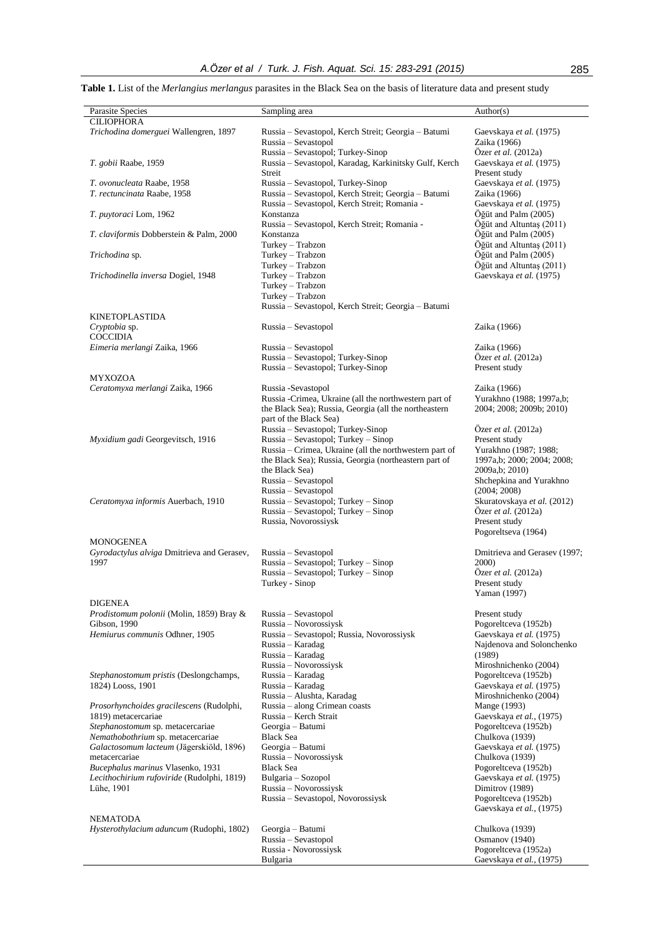**Table 1.** List of the *Merlangius merlangus* parasites in the Black Sea on the basis of literature data and present study

| <b>Parasite Species</b>                    | Sampling area                                          | Author(s)                    |
|--------------------------------------------|--------------------------------------------------------|------------------------------|
| <b>CILIOPHORA</b>                          |                                                        |                              |
| Trichodina domerguei Wallengren, 1897      | Russia - Sevastopol, Kerch Streit; Georgia - Batumi    | Gaevskaya et al. (1975)      |
|                                            | Russia - Sevastopol                                    | Zaika (1966)                 |
|                                            | Russia - Sevastopol; Turkey-Sinop                      | Özer et al. (2012a)          |
| T. gobii Raabe, 1959                       | Russia - Sevastopol, Karadag, Karkinitsky Gulf, Kerch  | Gaevskaya et al. (1975)      |
|                                            | Streit                                                 | Present study                |
| T. ovonucleata Raabe, 1958                 | Russia - Sevastopol, Turkey-Sinop                      | Gaevskaya et al. (1975)      |
| T. rectuncinata Raabe, 1958                | Russia - Sevastopol, Kerch Streit; Georgia - Batumi    | Zaika (1966)                 |
|                                            | Russia - Sevastopol, Kerch Streit; Romania -           | Gaevskaya et al. (1975)      |
| T. puytoraci Lom, 1962                     | Konstanza                                              | Öğüt and Palm (2005)         |
|                                            | Russia - Sevastopol, Kerch Streit; Romania -           | Öğüt and Altuntaş (2011)     |
| T. claviformis Dobberstein & Palm, 2000    | Konstanza                                              | Öğüt and Palm (2005)         |
|                                            | Turkey - Trabzon                                       | Öğüt and Altuntaş (2011)     |
| Trichodina sp.                             | Turkey - Trabzon                                       | Öğüt and Palm (2005)         |
|                                            | Turkey - Trabzon                                       | Öğüt and Altuntaş (2011)     |
| Trichodinella inversa Dogiel, 1948         | Turkey - Trabzon                                       | Gaevskaya et al. (1975)      |
|                                            | Turkey - Trabzon                                       |                              |
|                                            | Turkey - Trabzon                                       |                              |
|                                            | Russia - Sevastopol, Kerch Streit; Georgia - Batumi    |                              |
| <b>KINETOPLASTIDA</b>                      |                                                        |                              |
| Cryptobia sp.                              | Russia - Sevastopol                                    | Zaika (1966)                 |
| <b>COCCIDIA</b>                            |                                                        |                              |
| Eimeria merlangi Zaika, 1966               | Russia - Sevastopol                                    | Zaika (1966)                 |
|                                            | Russia - Sevastopol; Turkey-Sinop                      | Ozer <i>et al.</i> (2012a)   |
|                                            | Russia – Sevastopol; Turkey-Sinop                      | Present study                |
| <b>MYXOZOA</b>                             |                                                        |                              |
| Ceratomyxa merlangi Zaika, 1966            | Russia - Sevastopol                                    | Zaika (1966)                 |
|                                            | Russia -Crimea, Ukraine (all the northwestern part of  | Yurakhno (1988; 1997a,b;     |
|                                            | the Black Sea); Russia, Georgia (all the northeastern  | 2004; 2008; 2009b; 2010)     |
|                                            | part of the Black Sea)                                 |                              |
|                                            | Russia - Sevastopol; Turkey-Sinop                      | Özer et al. (2012a)          |
| Myxidium gadi Georgevitsch, 1916           | Russia - Sevastopol; Turkey - Sinop                    | Present study                |
|                                            | Russia - Crimea, Ukraine (all the northwestern part of | Yurakhno (1987; 1988;        |
|                                            | the Black Sea); Russia, Georgia (northeastern part of  | 1997a,b; 2000; 2004; 2008;   |
|                                            | the Black Sea)                                         | 2009a,b; 2010)               |
|                                            | Russia - Sevastopol                                    | Shchepkina and Yurakhno      |
|                                            | Russia - Sevastopol                                    | (2004; 2008)                 |
| Ceratomyxa informis Auerbach, 1910         | Russia – Sevastopol; Turkey – Sinop                    | Skuratovskaya et al. (2012)  |
|                                            | Russia - Sevastopol; Turkey - Sinop                    | Özer et al. (2012a)          |
|                                            | Russia, Novorossiysk                                   | Present study                |
|                                            |                                                        | Pogoreltseva (1964)          |
| <b>MONOGENEA</b>                           |                                                        |                              |
| Gyrodactylus alviga Dmitrieva and Gerasev, | Russia - Sevastopol                                    | Dmitrieva and Gerasev (1997; |
| 1997                                       | Russia - Sevastopol; Turkey - Sinop                    | 2000)                        |
|                                            | Russia - Sevastopol; Turkey - Sinop                    | Özer et al. (2012a)          |
|                                            | Turkey - Sinop                                         | Present study                |
|                                            |                                                        | Yaman (1997)                 |
| DIGENEA                                    |                                                        |                              |
| Prodistomum polonii (Molin, 1859) Bray &   | Russia - Sevastopol                                    | Present study                |
| Gibson, 1990                               | Russia – Novorossiysk                                  | Pogoreltceva (1952b)         |
| Hemiurus communis Odhner, 1905             | Russia - Sevastopol; Russia, Novorossiysk              | Gaevskaya et al. (1975)      |
|                                            | Russia – Karadag                                       | Najdenova and Solonchenko    |
|                                            | Russia – Karadag                                       | (1989)                       |
|                                            | Russia – Novorossiysk                                  | Miroshnichenko (2004)        |
| Stephanostomum pristis (Deslongchamps,     | Russia – Karadag                                       | Pogoreltceva (1952b)         |
| 1824) Looss, 1901                          | Russia - Karadag                                       | Gaevskaya et al. (1975)      |
|                                            |                                                        |                              |
|                                            | Russia - Alushta, Karadag                              | Miroshnichenko (2004)        |
| Prosorhynchoides gracilescens (Rudolphi,   | Russia - along Crimean coasts                          | Mange (1993)                 |
| 1819) metacercariae                        | Russia – Kerch Strait                                  | Gaevskaya et al., (1975)     |
| Stephanostomum sp. metacercariae           | Georgia – Batumi                                       | Pogoreltceva (1952b)         |
| Nemathobothrium sp. metacercariae          | <b>Black Sea</b>                                       | Chulkova (1939)              |
| Galactosomum lacteum (Jägerskiöld, 1896)   | Georgia - Batumi                                       | Gaevskaya et al. (1975)      |
| metacercariae                              | Russia – Novorossiysk                                  | Chulkova (1939)              |
| Bucephalus marinus Vlasenko, 1931          | <b>Black Sea</b>                                       | Pogoreltceva (1952b)         |
| Lecithochirium rufoviride (Rudolphi, 1819) | Bulgaria - Sozopol                                     | Gaevskaya et al. (1975)      |
| Lühe, 1901                                 | Russia – Novorossiysk                                  | Dimitrov (1989)              |
|                                            | Russia - Sevastopol, Novorossiysk                      | Pogoreltceva (1952b)         |
|                                            |                                                        | Gaevskaya et al., (1975)     |
| <b>NEMATODA</b>                            |                                                        |                              |
| Hysterothylacium aduncum (Rudophi, 1802)   | Georgia - Batumi                                       | Chulkova (1939)              |
|                                            | Russia – Sevastopol                                    | Osmanov (1940)               |
|                                            | Russia - Novorossiysk                                  | Pogoreltceva (1952a)         |
|                                            | Bulgaria                                               | Gaevskaya et al., (1975)     |
|                                            |                                                        |                              |
|                                            |                                                        |                              |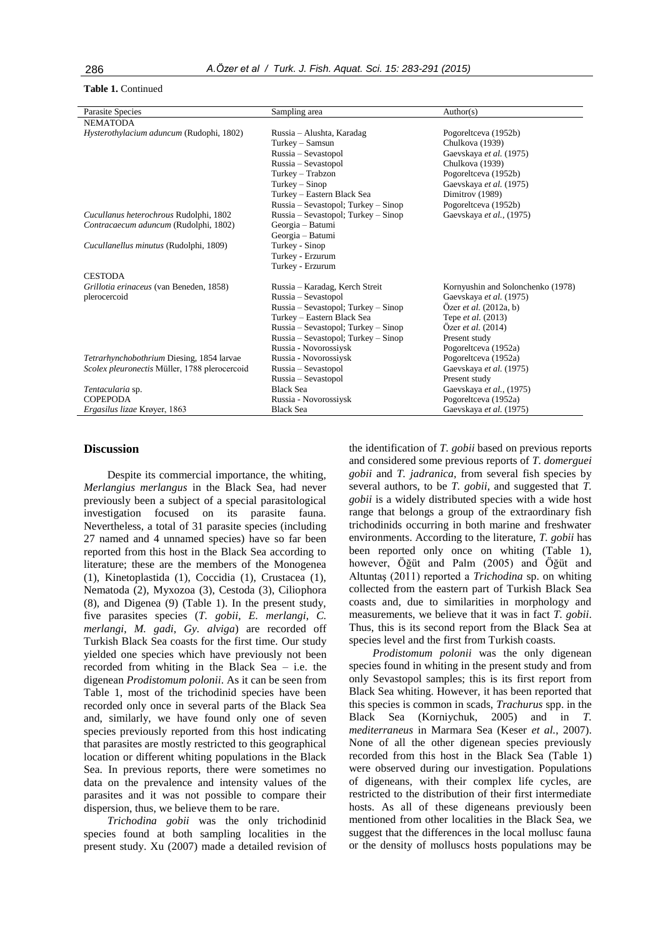# **Table 1.** Continued

| Parasite Species                              | Sampling area                       | Author( $s$ )                     |  |  |  |
|-----------------------------------------------|-------------------------------------|-----------------------------------|--|--|--|
| <b>NEMATODA</b>                               |                                     |                                   |  |  |  |
| Hysterothylacium aduncum (Rudophi, 1802)      | Russia – Alushta, Karadag           | Pogoreltceva (1952b)              |  |  |  |
|                                               | Turkey – Samsun                     | Chulkova (1939)                   |  |  |  |
|                                               | Russia - Sevastopol                 | Gaevskaya et al. (1975)           |  |  |  |
|                                               | Russia – Sevastopol                 | Chulkova (1939)                   |  |  |  |
|                                               | Turkey – Trabzon                    | Pogoreltceva (1952b)              |  |  |  |
|                                               | $Turkey - Sinop$                    | Gaevskaya et al. (1975)           |  |  |  |
|                                               | Turkey - Eastern Black Sea          | Dimitrov (1989)                   |  |  |  |
|                                               | Russia – Sevastopol; Turkey – Sinop | Pogoreltceva (1952b)              |  |  |  |
| Cucullanus heterochrous Rudolphi, 1802        | Russia – Sevastopol; Turkey – Sinop | Gaevskaya et al., (1975)          |  |  |  |
| Contracaecum aduncum (Rudolphi, 1802)         | Georgia – Batumi                    |                                   |  |  |  |
|                                               | Georgia - Batumi                    |                                   |  |  |  |
| Cucullanellus minutus (Rudolphi, 1809)        | Turkey - Sinop                      |                                   |  |  |  |
|                                               | Turkey - Erzurum                    |                                   |  |  |  |
|                                               | Turkey - Erzurum                    |                                   |  |  |  |
| <b>CESTODA</b>                                |                                     |                                   |  |  |  |
| Grillotia erinaceus (van Beneden, 1858)       | Russia – Karadag, Kerch Streit      | Kornyushin and Solonchenko (1978) |  |  |  |
| plerocercoid                                  | Russia – Sevastopol                 | Gaevskaya et al. (1975)           |  |  |  |
|                                               | Russia – Sevastopol; Turkey – Sinop | Özer et al. (2012a, b)            |  |  |  |
|                                               | Turkey - Eastern Black Sea          | Tepe et al. (2013)                |  |  |  |
|                                               | Russia – Sevastopol; Turkey – Sinop | Özer et al. (2014)                |  |  |  |
|                                               | Russia – Sevastopol; Turkey – Sinop | Present study                     |  |  |  |
|                                               | Russia - Novorossiysk               | Pogoreltceva (1952a)              |  |  |  |
| Tetrarhynchobothrium Diesing, 1854 larvae     | Russia - Novorossiysk               | Pogoreltceva (1952a)              |  |  |  |
| Scolex pleuronectis Müller, 1788 plerocercoid | Russia – Sevastopol                 | Gaevskaya et al. (1975)           |  |  |  |
|                                               | Russia – Sevastopol                 | Present study                     |  |  |  |
| Tentacularia sp.                              | <b>Black Sea</b>                    | Gaevskaya et al., (1975)          |  |  |  |
| <b>COPEPODA</b>                               | Russia - Novorossiysk               | Pogoreltceva (1952a)              |  |  |  |
| Ergasilus lizae Krøyer, 1863                  | <b>Black Sea</b>                    | Gaevskaya et al. (1975)           |  |  |  |

# **Discussion**

Despite its commercial importance, the whiting, *Merlangius merlangus* in the Black Sea*,* had never previously been a subject of a special parasitological investigation focused on its parasite fauna*.* Nevertheless, a total of 31 parasite species (including 27 named and 4 unnamed species) have so far been reported from this host in the Black Sea according to literature; these are the members of the Monogenea (1), Kinetoplastida (1), Coccidia (1), Crustacea (1), Nematoda (2), Myxozoa (3), Cestoda (3), Ciliophora (8), and Digenea (9) (Table 1). In the present study, five parasites species (*T. gobii*, *E. merlangi*, *C. merlangi*, *M. gadi*, *Gy. alviga*) are recorded off Turkish Black Sea coasts for the first time. Our study yielded one species which have previously not been recorded from whiting in the Black Sea – i.e. the digenean *Prodistomum polonii*. As it can be seen from Table 1, most of the trichodinid species have been recorded only once in several parts of the Black Sea and, similarly, we have found only one of seven species previously reported from this host indicating that parasites are mostly restricted to this geographical location or different whiting populations in the Black Sea. In previous reports, there were sometimes no data on the prevalence and intensity values of the parasites and it was not possible to compare their dispersion, thus, we believe them to be rare.

*Trichodina gobii* was the only trichodinid species found at both sampling localities in the present study. Xu (2007) made a detailed revision of

the identification of *T. gobii* based on previous reports and considered some previous reports of *T. domerguei gobii* and *T. jadranica,* from several fish species by several authors, to be *T. gobii*, and suggested that *T. gobii* is a widely distributed species with a wide host range that belongs a group of the extraordinary fish trichodinids occurring in both marine and freshwater environments. According to the literature, *T. gobii* has been reported only once on whiting (Table 1), however, Öğüt and Palm (2005) and Öğüt and Altuntaş (2011) reported a *Trichodina* sp. on whiting collected from the eastern part of Turkish Black Sea coasts and, due to similarities in morphology and measurements, we believe that it was in fact *T. gobii*. Thus, this is its second report from the Black Sea at species level and the first from Turkish coasts.

*Prodistomum polonii* was the only digenean species found in whiting in the present study and from only Sevastopol samples; this is its first report from Black Sea whiting. However, it has been reported that this species is common in scads, *Trachurus* spp. in the Black Sea (Korniychuk, 2005) and in *T. mediterraneus* in Marmara Sea (Keser *et al.*, 2007). None of all the other digenean species previously recorded from this host in the Black Sea (Table 1) were observed during our investigation. Populations of digeneans, with their complex life cycles, are restricted to the distribution of their first intermediate hosts. As all of these digeneans previously been mentioned from other localities in the Black Sea, we suggest that the differences in the local mollusc fauna or the density of molluscs hosts populations may be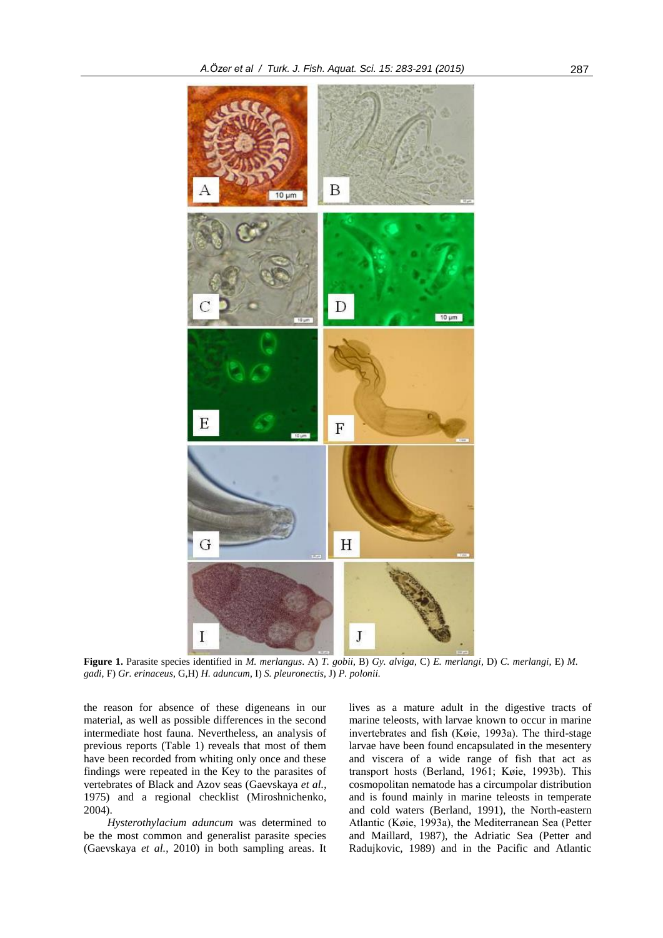

**Figure 1.** Parasite species identified in *M. merlangus*. A) *T. gobii*, B) *Gy. alviga*, C) *E. merlangi*, D) *C. merlangi*, E) *M. gadi*, F) *Gr. erinaceus*, G,H) *H. aduncum*, I) *S. pleuronectis*, J) *P. polonii.*

the reason for absence of these digeneans in our material, as well as possible differences in the second intermediate host fauna. Nevertheless, an analysis of previous reports (Table 1) reveals that most of them have been recorded from whiting only once and these findings were repeated in the Key to the parasites of vertebrates of Black and Azov seas (Gaevskaya *et al.*, 1975) and a regional checklist (Miroshnichenko, 2004).

*Hysterothylacium aduncum* was determined to be the most common and generalist parasite species (Gaevskaya *et al.*, 2010) in both sampling areas. It lives as a mature adult in the digestive tracts of marine teleosts, with larvae known to occur in marine invertebrates and fish (Køie, 1993a). The third-stage larvae have been found encapsulated in the mesentery and viscera of a wide range of fish that act as transport hosts (Berland, 1961; Køie, 1993b). This cosmopolitan nematode has a circumpolar distribution and is found mainly in marine teleosts in temperate and cold waters (Berland, 1991), the North-eastern Atlantic (Køie, 1993a), the Mediterranean Sea (Petter and Maillard, 1987), the Adriatic Sea (Petter and Radujkovic, 1989) and in the Pacific and Atlantic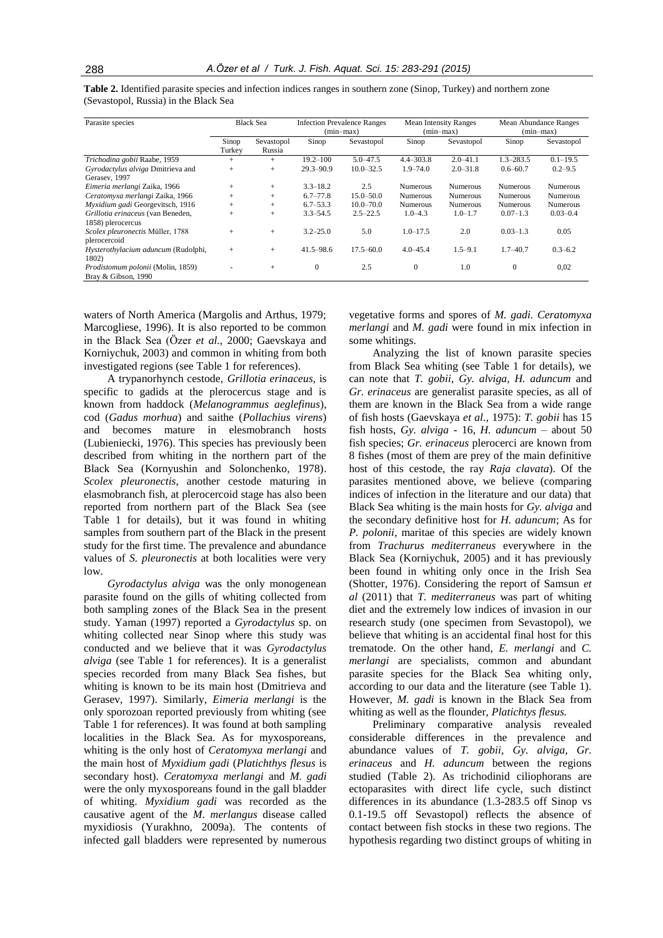**Table 2.** Identified parasite species and infection indices ranges in southern zone (Sinop, Turkey) and northern zone (Sevastopol, Russia) in the Black Sea

| Parasite species                                         | <b>Black Sea</b> |                      | <b>Infection Prevalence Ranges</b><br>(min-max) |               | <b>Mean Intensity Ranges</b><br>(min–max) |                 | Mean Abundance Ranges<br>(min-max) |                 |
|----------------------------------------------------------|------------------|----------------------|-------------------------------------------------|---------------|-------------------------------------------|-----------------|------------------------------------|-----------------|
|                                                          | Sinop<br>Turkey  | Sevastopol<br>Russia | Sinop                                           | Sevastopol    | Sinop                                     | Sevastopol      | Sinop                              | Sevastopol      |
| Trichodina gobii Raabe, 1959                             | $^{+}$           | $+$                  | $19.2 - 100$                                    | $5.0 - 47.5$  | $4.4 - 303.8$                             | $2.0 - 41.1$    | $1.3 - 283.5$                      | $0.1 - 19.5$    |
| Gyrodactylus alviga Dmitrieva and                        | $^{+}$           | $+$                  | $29.3 - 90.9$                                   | $10.0 - 32.5$ | $1.9 - 74.0$                              | $2.0 - 31.8$    | $0.6 - 60.7$                       | $0.2 - 9.5$     |
| Gerasev, 1997                                            |                  |                      |                                                 |               |                                           |                 |                                    |                 |
| Eimeria merlangi Zaika, 1966                             | $+$              | $+$                  | $3.3 - 18.2$                                    | 2.5           | <b>Numerous</b>                           | <b>Numerous</b> | <b>Numerous</b>                    | <b>Numerous</b> |
| Ceratomyxa merlangi Zaika, 1966                          |                  | $+$                  | $6.7 - 77.8$                                    | $15.0 - 50.0$ | <b>Numerous</b>                           | <b>Numerous</b> | <b>Numerous</b>                    | <b>Numerous</b> |
| Myxidium gadi Georgevitsch, 1916                         | $+$              | $+$                  | $6.7 - 53.3$                                    | $10.0 - 70.0$ | <b>Numerous</b>                           | Numerous        | Numerous                           | <b>Numerous</b> |
| Grillotia erinaceus (van Beneden,<br>1858) plerocercus   | $^{+}$           | $+$                  | $3.3 - 54.5$                                    | $2.5 - 22.5$  | $1.0 - 4.3$                               | $1.0 - 1.7$     | $0.07 - 1.3$                       | $0.03 - 0.4$    |
| Scolex pleuronectis Müller, 1788<br>plerocercoid         | $+$              | $+$                  | $3.2 - 25.0$                                    | 5.0           | $1.0 - 17.5$                              | 2.0             | $0.03 - 1.3$                       | 0.05            |
| Hysterothylacium aduncum (Rudolphi,<br>1802)             | $+$              | $^{+}$               | $41.5 - 98.6$                                   | $17.5 - 60.0$ | $4.0 - 45.4$                              | $1.5 - 9.1$     | $1.7 - 40.7$                       | $0.3 - 6.2$     |
| Prodistomum polonii (Molin, 1859)<br>Bray & Gibson, 1990 |                  | $^{+}$               | $\mathbf{0}$                                    | 2.5           | 0                                         | 1.0             | $\mathbf{0}$                       | 0,02            |

waters of North America (Margolis and Arthus, 1979; Marcogliese, 1996). It is also reported to be common in the Black Sea (Özer *et al.*, 2000; Gaevskaya and Korniychuk, 2003) and common in whiting from both investigated regions (see Table 1 for references).

A trypanorhynch cestode, *Grillotia erinaceus,* is specific to gadids at the plerocercus stage and is known from haddock (*Melanogrammus aeglefinus*), cod (*Gadus morhua*) and saithe (*Pollachius virens*) and becomes mature in elesmobranch hosts (Lubieniecki, 1976). This species has previously been described from whiting in the northern part of the Black Sea (Kornyushin and Solonchenko, 1978). *Scolex pleuronectis*, another cestode maturing in elasmobranch fish, at plerocercoid stage has also been reported from northern part of the Black Sea (see Table 1 for details), but it was found in whiting samples from southern part of the Black in the present study for the first time. The prevalence and abundance values of *S. pleuronectis* at both localities were very low.

*Gyrodactylus alviga* was the only monogenean parasite found on the gills of whiting collected from both sampling zones of the Black Sea in the present study. Yaman (1997) reported a *Gyrodactylus* sp. on whiting collected near Sinop where this study was conducted and we believe that it was *Gyrodactylus alviga* (see Table 1 for references). It is a generalist species recorded from many Black Sea fishes, but whiting is known to be its main host (Dmitrieva and Gerasev, 1997). Similarly, *Eimeria merlangi* is the only sporozoan reported previously from whiting (see Table 1 for references). It was found at both sampling localities in the Black Sea. As for myxosporeans, whiting is the only host of *Ceratomyxa merlangi* and the main host of *Myxidium gadi* (*Platichthys flesus* is secondary host). *Ceratomyxa merlangi* and *M. gadi* were the only myxosporeans found in the gall bladder of whiting. *Myxidium gadi* was recorded as the causative agent of the *M. merlangus* disease called myxidiosis (Yurakhno, 2009a). The contents of infected gall bladders were represented by numerous vegetative forms and spores of *M. gadi. Ceratomyxa merlangi* and *M. gadi* were found in mix infection in some whitings.

Analyzing the list of known parasite species from Black Sea whiting (see Table 1 for details), we can note that *T. gobii*, *Gy. alviga, H. aduncum* and *Gr. erinaceus* are generalist parasite species, as all of them are known in the Black Sea from a wide range of fish hosts (Gaevskaya *et al.*, 1975): *T. gobii* has 15 fish hosts, *Gy. alviga* - 16, *H. aduncum* – about 50 fish species; *Gr. erinaceus* plerocerci are known from 8 fishes (most of them are prey of the main definitive host of this cestode, the ray *Raja clavata*). Of the parasites mentioned above, we believe (comparing indices of infection in the literature and our data) that Black Sea whiting is the main hosts for *Gy. alviga* and the secondary definitive host for *H. aduncum*; As for *P. polonii*, maritae of this species are widely known from *Trachurus mediterraneus* everywhere in the Black Sea (Korniychuk, 2005) and it has previously been found in whiting only once in the Irish Sea (Shotter, 1976). Considering the report of Samsun *et al* (2011) that *T. mediterraneus* was part of whiting diet and the extremely low indices of invasion in our research study (one specimen from Sevastopol), we believe that whiting is an accidental final host for this trematode. On the other hand, *E. merlangi* and *C. merlangi* are specialists, common and abundant parasite species for the Black Sea whiting only, according to our data and the literature (see Table 1). However, *M. gadi* is known in the Black Sea from whiting as well as the flounder, *Platichtys flesus.*

Preliminary comparative analysis revealed considerable differences in the prevalence and abundance values of *T. gobii, Gy. alviga, Gr. erinaceus* and *H. aduncum* between the regions studied (Table 2). As trichodinid ciliophorans are ectoparasites with direct life cycle, such distinct differences in its abundance (1.3-283.5 off Sinop vs 0.1-19.5 off Sevastopol) reflects the absence of contact between fish stocks in these two regions. The hypothesis regarding two distinct groups of whiting in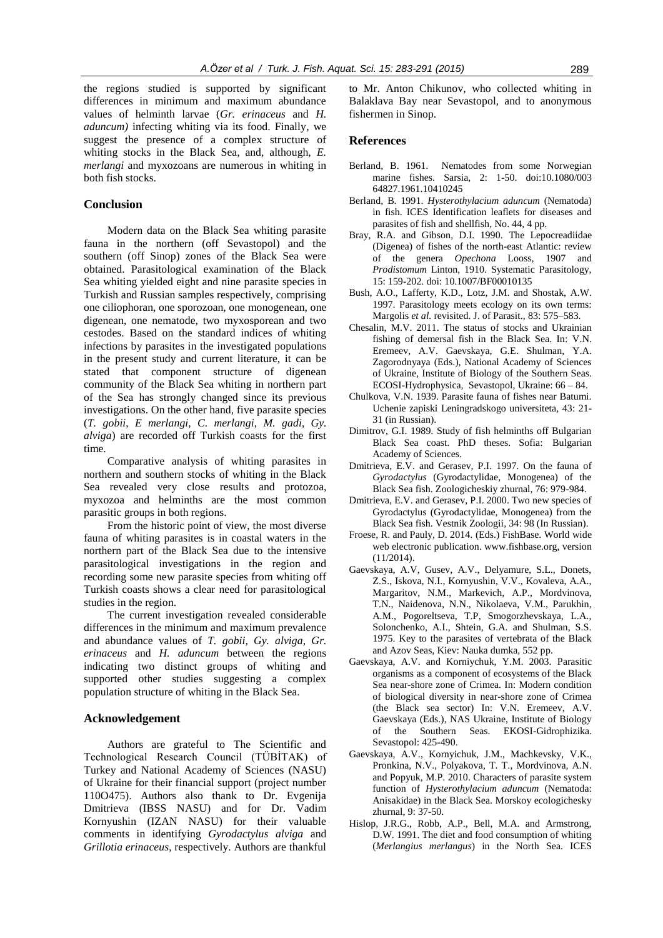the regions studied is supported by significant differences in minimum and maximum abundance values of helminth larvae (*Gr. erinaceus* and *H. aduncum)* infecting whiting via its food. Finally, we suggest the presence of a complex structure of whiting stocks in the Black Sea, and, although, *E. merlangi* and myxozoans are numerous in whiting in both fish stocks.

# **Conclusion**

Modern data on the Black Sea whiting parasite fauna in the northern (off Sevastopol) and the southern (off Sinop) zones of the Black Sea were obtained. Parasitological examination of the Black Sea whiting yielded eight and nine parasite species in Turkish and Russian samples respectively, comprising one ciliophoran, one sporozoan, one monogenean, one digenean, one nematode, two myxosporean and two cestodes. Based on the standard indices of whiting infections by parasites in the investigated populations in the present study and current literature, it can be stated that component structure of digenean community of the Black Sea whiting in northern part of the Sea has strongly changed since its previous investigations. On the other hand, five parasite species (*T. gobii*, *E merlangi*, *C. merlangi*, *M. gadi*, *Gy. alviga*) are recorded off Turkish coasts for the first time.

Comparative analysis of whiting parasites in northern and southern stocks of whiting in the Black Sea revealed very close results and protozoa, myxozoa and helminths are the most common parasitic groups in both regions.

From the historic point of view, the most diverse fauna of whiting parasites is in coastal waters in the northern part of the Black Sea due to the intensive parasitological investigations in the region and recording some new parasite species from whiting off Turkish coasts shows a clear need for parasitological studies in the region.

The current investigation revealed considerable differences in the minimum and maximum prevalence and abundance values of *T. gobii, Gy. alviga, Gr. erinaceus* and *H. aduncum* between the regions indicating two distinct groups of whiting and supported other studies suggesting a complex population structure of whiting in the Black Sea.

#### **Acknowledgement**

Authors are grateful to The Scientific and Technological Research Council (TÜBİTAK) of Turkey and National Academy of Sciences (NASU) of Ukraine for their financial support (project number 110O475). Authors also thank to Dr. Evgenija Dmitrieva (IBSS NASU) and for Dr. Vadim Kornyushin (IZAN NASU) for their valuable comments in identifying *Gyrodactylus alviga* and *Grillotia erinaceus*, respectively. Authors are thankful to Mr. Anton Chikunov, who collected whiting in Balaklava Bay near Sevastopol, and to anonymous fishermen in Sinop.

# **References**

- Berland, B. 1961. Nematodes from some Norwegian marine fishes. Sarsia, 2: 1-50. doi:10.1080/003 64827.1961.10410245
- Berland, B. 1991. *Hysterothylacium aduncum* (Nematoda) in fish. ICES Identification leaflets for diseases and parasites of fish and shellfish*,* No. 44, 4 pp.
- Bray, R.A. and Gibson, D.I. 1990. The Lepocreadiidae (Digenea) of fishes of the north-east Atlantic: review of the genera *Opechona* Looss, 1907 and *Prodistomum* Linton, 1910. Systematic Parasitology, 15: 159-202. doi: 10.1007/BF00010135
- Bush, A.O., Lafferty, K.D., Lotz, J.M. and Shostak, A.W. 1997. Parasitology meets ecology on its own terms: Margolis *et al.* revisited. J. of Parasit., 83: 575–583.
- Chesalin, M.V. 2011. The status of stocks and Ukrainian fishing of demersal fish in the Black Sea. In: V.N. Eremeev, A.V. Gaevskaya, G.E. Shulman, Y.A. Zagorodnyaya (Eds.), National Academy of Sciences of Ukraine, Institute of Biology of the Southern Seas. ECOSI-Hydrophysica, Sevastopol, Ukraine: 66 – 84.
- Chulkova, V.N. 1939. Parasite fauna of fishes near Batumi. Uchenie zapiski Leningradskogo universiteta*,* 43: 21- 31 (in Russian).
- Dimitrov, G.I. 1989. Study of fish helminths off Bulgarian Black Sea coast. PhD theses. Sofia: Bulgarian Academy of Sciences.
- Dmitrieva, E.V. and Gerasev, P.I. 1997. On the fauna of *Gyrodactylus* (Gyrodactylidae, Monogenea) of the Black Sea fish. Zoologicheskiy zhurnal, 76: 979-984.
- Dmitrieva, E.V. and Gerasev, P.I. 2000. Two new species of Gyrodactylus (Gyrodactylidae, Monogenea) from the Black Sea fish. Vestnik Zoologii*,* 34: 98 (In Russian).
- Froese, R. and Pauly, D. 2014. (Eds.) FishBase. World wide web electronic publication. www.fishbase.org, version (11/2014).
- Gaevskaya, A.V, Gusev, A.V., Delyamure, S.L., Donets, Z.S., Iskova, N.I., Kornyushin, V.V., Kovaleva, A.A., Margaritov, N.M., Markevich, A.P., Mordvinova, T.N., Naidenova, N.N., Nikolaeva, V.M., Parukhin, A.M., Pogoreltseva, T.P, Smogorzhevskaya, L.A., Solonchenko, A.I., Shtein, G.A. and Shulman, S.S. 1975. Key to the parasites of vertebrata of the Black and Azov Seas, Kiev: Nauka dumka, 552 pp.
- Gaevskaya, A.V. and Korniychuk, Y.M. 2003. Parasitic organisms as a component of ecosystems of the Black Sea near-shore zone of Crimea. In: Modern condition of biological diversity in near-shore zone of Crimea (the Black sea sector) In: V.N. Eremeev, A.V. Gaevskaya (Eds.), NAS Ukraine, Institute of Biology of the Southern Seas. EKOSI-Gidrophizika. Sevastopol: 425-490.
- Gaevskaya, A.V., Kornyichuk, J.M., Machkevsky, V.K., Pronkina, N.V., Polyakova, T. T., Mordvinova, A.N. and Popyuk, M.P. 2010. Characters of parasite system function of *Hysterothylacium aduncum* (Nematoda: Anisakidae) in the Black Sea. Morskoy ecologichesky zhurnal*,* 9: 37-50.
- Hislop, J.R.G., Robb, A.P., Bell, M.A. and Armstrong, D.W. 1991. The diet and food consumption of whiting (*Merlangius merlangus*) in the North Sea. ICES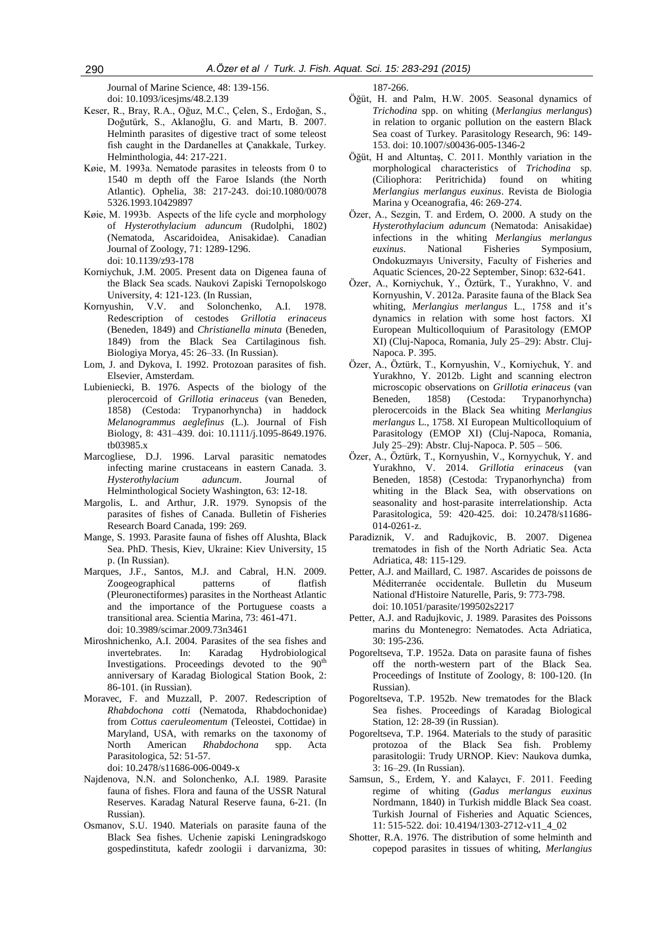Journal of Marine Science, 48: 139-156. doi: 10.1093/icesjms/48.2.139

- Keser, R., Bray, R.A., Oğuz, M.C., Çelen, S., Erdoğan, S., Doğutürk, S., Aklanoğlu, G. and Martı, B. 2007. Helminth parasites of digestive tract of some teleost fish caught in the Dardanelles at Çanakkale, Turkey. Helminthologia, 44: 217-221.
- Køie, M. 1993a. Nematode parasites in teleosts from 0 to 1540 m depth off the Faroe Islands (the North Atlantic). Ophelia, 38: 217-243. doi:10.1080/0078 5326.1993.10429897
- Køie, M. 1993b. Aspects of the life cycle and morphology of *Hysterothylacium aduncum* (Rudolphi, 1802) (Nematoda, Ascaridoidea, Anisakidae). Canadian Journal of Zoology, 71: 1289-1296. doi: 10.1139/z93-178
- Korniychuk, J.M. 2005. Present data on Digenea fauna of the Black Sea scads. Naukovi Zapiski Ternopolskogo University, 4: 121-123. (In Russian,
- Kornyushin, V.V. and Solonchenko, A.I. 1978. Redescription of cestodes *Grillotia erinaceus* (Beneden, 1849) and *Christianella minuta* (Beneden, 1849) from the Black Sea Cartilaginous fish. Biologiya Morya*,* 45: 26–33. (In Russian).
- Lom, J. and Dykova, I. 1992. Protozoan parasites of fish. Elsevier, Amsterdam.
- [Lubieniecki,](https://www.researchgate.net/researcher/83740017_B_Lubieniecki) B. 1976. Aspects of the biology of the plerocercoid of *Grillotia erinaceus* (van Beneden, 1858) (Cestoda: Trypanorhyncha) in haddock *Melanogrammus aeglefinus* (L.). Journal of Fish Biology*,* [8:](http://onlinelibrary.wiley.com/doi/10.1111/jfb.1976.8.issue-6/issuetoc) 431–439. doi: 10.1111/j.1095-8649.1976. tb03985.x
- Marcogliese, D.J. 1996. Larval parasitic nematodes infecting marine crustaceans in eastern Canada. 3. *Hysterothylacium aduncum*. Journal of Helminthological Society Washington, 63: 12-18.
- Margolis, L. and Arthur, J.R. 1979. Synopsis of the parasites of fishes of Canada. Bulletin of Fisheries Research Board Canada, 199: 269.
- Mange, S. 1993. Parasite fauna of fishes off Alushta, Black Sea. PhD. Thesis, Kiev, Ukraine: Kiev University, 15 p. (In Russian).
- Marques, J.F., Santos, M.J. and Cabral, H.N. 2009. Zoogeographical patterns of flatfish (Pleuronectiformes) parasites in the Northeast Atlantic and the importance of the Portuguese coasts a transitional area. Scientia Marina*,* 73: 461-471. doi: 10.3989/scimar.2009.73n3461
- Miroshnichenko, A.I. 2004. Parasites of the sea fishes and invertebrates. In: Karadag Hydrobiological Investigations. Proceedings devoted to the 90<sup>th</sup> anniversary of Karadag Biological Station Book, 2: 86-101. (in Russian).
- Moravec, F. and Muzzall, P. 2007. Redescription of *Rhabdochona cotti* (Nematoda, Rhabdochonidae) from *Cottus caeruleomentum* (Teleostei, Cottidae) in Maryland, USA, with remarks on the taxonomy of North American *Rhabdochona* spp. Acta Parasitologica, 52: 51-57.

doi: 10.2478/s11686-006-0049-x

- Najdenova, N.N. and Solonchenko, A.I. 1989. Parasite fauna of fishes. Flora and fauna of the USSR Natural Reserves. Karadag Natural Reserve fauna, 6-21. (In Russian).
- Osmanov, S.U. 1940. Materials on parasite fauna of the Black Sea fishes. Uchenie zapiski Leningradskogo gospedinstituta, kafedr zoologii i darvanizma, 30:

187-266.

- Öğüt, H. and Palm, H.W. 2005. Seasonal dynamics of *Trichodina* spp. on whiting (*Merlangius merlangus*) in relation to organic pollution on the eastern Black Sea coast of Turkey. Parasitology Research, 96: 149- 153. doi: 10.1007/s00436-005-1346-2
- Öğüt, H and Altuntaş, C. 2011. Monthly variation in the morphological characteristics of *Trichodina* sp. (Ciliophora: Peritrichida) found on whiting *Merlangius merlangus euxinus*. Revista de Biologia Marina y Oceanografia, 46: 269-274.
- Özer, A., Sezgin, T. and Erdem, O. 2000. A study on the *Hysterothylacium aduncum* (Nematoda: Anisakidae) infections in the whiting *Merlangius merlangus euxinus*. National Fisheries Symposium, Ondokuzmayıs University, Faculty of Fisheries and Aquatic Sciences, 20-22 September, Sinop: 632-641.
- Özer, A., Korniychuk, Y., Öztürk, T., Yurakhno, V. and Kornyushin, V. 2012a. Parasite fauna of the Black Sea whiting, *Merlangius merlangus* L., 1758 and it's dynamics in relation with some host factors. XI European Multicolloquium of Parasitology (EMOP XI) (Cluj-Napoca, Romania, July 25–29): Abstr. Cluj-Napoca. P. 395.
- Özer, A., Öztürk, T., Kornyushin, V., Korniychuk, Y. and Yurakhno, Y. 2012b. Light and scanning electron microscopic observations on *Grillotia erinaceus* (van Beneden, 1858) (Cestoda: Trypanorhyncha) plerocercoids in the Black Sea whiting *Merlangius merlangus* L., 1758. XI European Multicolloquium of Parasitology (EMOP XI) (Cluj-Napoca, Romania, July 25–29): Abstr. Cluj-Napoca. P. 505 – 506.
- Özer, A., Öztürk, T., Kornyushin, V., Kornyychuk, Y. and Yurakhno, V. 2014. *Grillotia erinaceus* (van Beneden, 1858) (Cestoda: Trypanorhyncha) from whiting in the Black Sea, with observations on seasonality and host-parasite interrelationship. Acta Parasitologica*,* 59: 420-425. doi: 10.2478/s11686- 014-0261-z.
- Paradiznik, V. and Radujkovic, B. 2007. Digenea trematodes in fish of the North Adriatic Sea. Acta Adriatica, 48: 115-129.
- Petter, A.J. and Maillard, C. 1987. Ascarides de poissons de Méditerranée occidentale. Bulletin du Museum National d'Histoire Naturelle, Paris, 9: 773-798. doi: 10.1051/parasite/199502s2217
- Petter, A.J. and Radujkovic, J. 1989. Parasites des Poissons marins du Montenegro: Nematodes. Acta Adriatica, 30: 195-236.
- Pogoreltseva, T.P. 1952a. Data on parasite fauna of fishes off the north-western part of the Black Sea. Proceedings of Institute of Zoology*,* 8: 100-120. (In Russian).
- Pogoreltseva, T.P. 1952b. New trematodes for the Black Sea fishes. Proceedings of Karadag Biological Station*,* 12: 28-39 (in Russian).
- Pogoreltseva, T.P. 1964. Materials to the study of parasitic protozoa of the Black Sea fish. Problemy parasitologii: Trudy URNOP. Kiev: Naukova dumka, 3: 16–29. (In Russian).
- Samsun, S., Erdem, Y. and Kalaycı, F. 2011. Feeding regime of whiting (*Gadus merlangus euxinus*  Nordmann, 1840) in Turkish middle Black Sea coast. Turkish Journal of Fisheries and Aquatic Sciences, 11: 515-522. doi: 10.4194/1303-2712-v11\_4\_02
- Shotter, R.A. 1976. The distribution of some helminth and copepod parasites in tissues of whiting, *Merlangius*